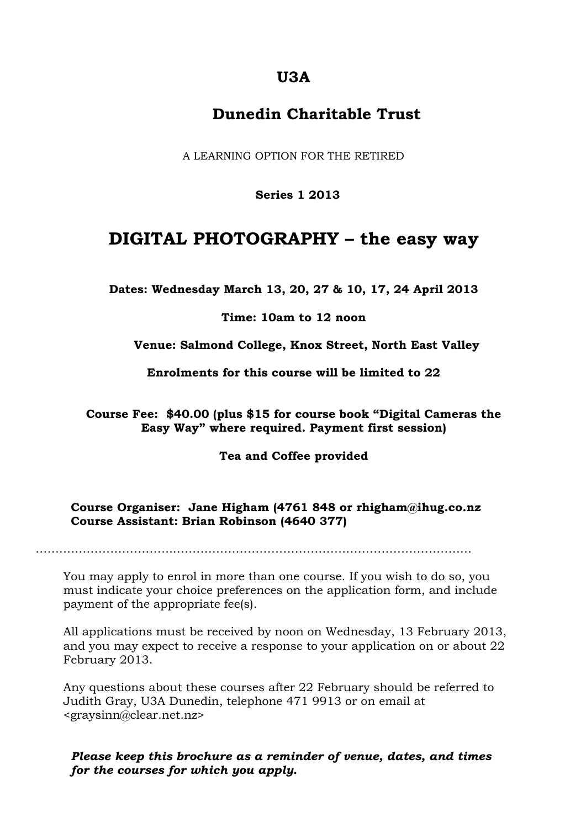## **U3A**

## **Dunedin Charitable Trust**

A LEARNING OPTION FOR THE RETIRED

**Series 1 2013**

# **DIGITAL PHOTOGRAPHY – the easy way**

**Dates: Wednesday March 13, 20, 27 & 10, 17, 24 April 2013**

**Time: 10am to 12 noon**

**Venue: Salmond College, Knox Street, North East Valley**

**Enrolments for this course will be limited to 22**

**Course Fee: \$40.00 (plus \$15 for course book "Digital Cameras the Easy Way" where required. Payment first session)**

**Tea and Coffee provided**

#### **Course Organiser: Jane Higham (4761 848 or rhigham@ihug.co.nz Course Assistant: Brian Robinson (4640 377)**

……….……………………..…………………………………………………………………

You may apply to enrol in more than one course. If you wish to do so, you must indicate your choice preferences on the application form, and include payment of the appropriate fee(s).

All applications must be received by noon on Wednesday, 13 February 2013, and you may expect to receive a response to your application on or about 22 February 2013.

Any questions about these courses after 22 February should be referred to Judith Gray, U3A Dunedin, telephone 471 9913 or on email at <graysinn@clear.net.nz>

*Please keep this brochure as a reminder of venue, dates, and times for the courses for which you apply.*